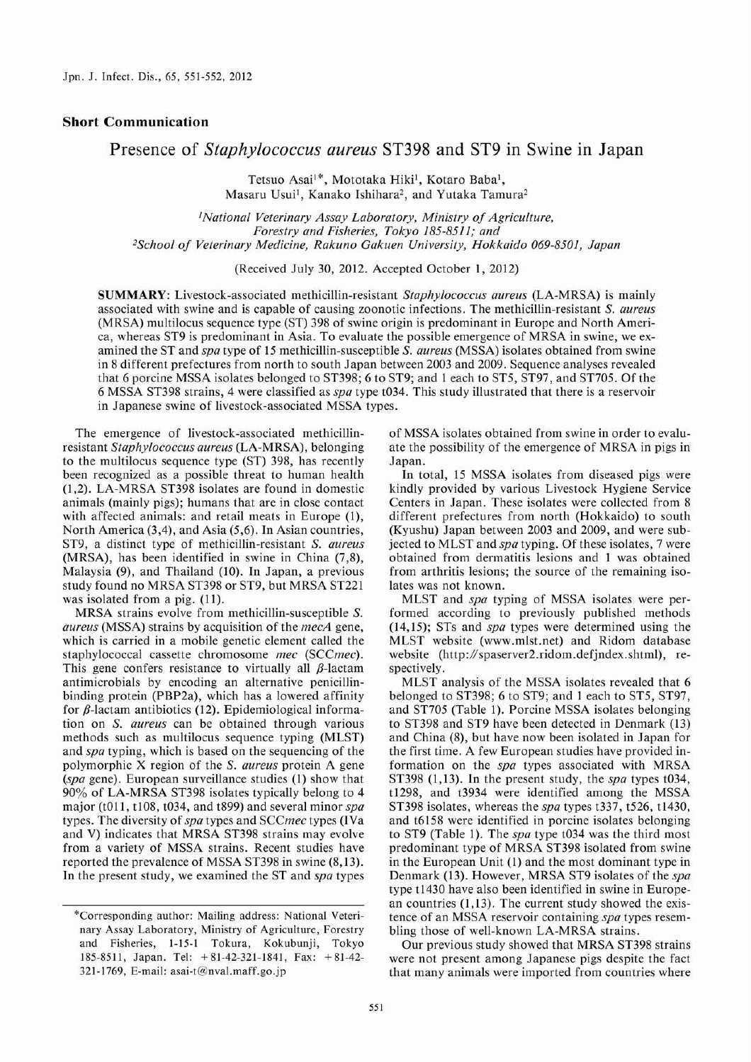## Short Communication

## Presence of Staphylococcus aureus ST398 and ST9 in Swine in Japan

 Tetsuo Asai'\*, Mototaka Hiki', Kotaro Baba', Masaru Usui<sup>1</sup>, Kanako Ishihara<sup>2</sup>, and Yutaka Tamura<sup>2</sup>

<sup>1</sup>National Veterinary Assay Laboratory, Ministry of Agricultur Forestry and Fisheries, Tokyo 185-8511; and 2School of Veterinary Medicine , Rakuno Gakuen University, Hokkaido 069-8501, Japan

(Received July 30, 2012. Accepted October 1, 2012)

SUMMARY: Livestock-associated methicillin-resistant Staphylococcus aureus (LA-MRSA) is mainly associated with swine and is capable of causing zoonotic infections. The methicillin-resistant S. aureus (MRSA) multilocus sequence type (ST) 398 of swine origin is predominant in Europe and North America, whereas ST9 is predominant in Asia. To evaluate the possible emergence of MRSA in swine, we examined the ST and spa type of 15 methicillin-susceptible S. aureus (MSSA) isolates obtained from swine in 8 different prefectures from north to south Japan between 2003 and 2009. Sequence analyses revealed that 6 porcine MSSA isolates belonged to ST398; 6 to ST9; and 1 each to ST5, ST97, and ST705. Of the 6 MSSA ST398 strains, 4 were classified as spa type t034. This study illustrated that there is a reservoir in Japanese swine of livestock-associated MSSA types.

The emergence of livestock-associated methicillinresistant Staphylococcus aureus (LA-MRSA), belonging to the multilocus sequence type (ST) 398, has recently been recognized as a possible threat to human health (1,2). LA-MRSA ST398 isolates are found in domestic animals (mainly pigs); humans that are in close contact with affected animals: and retail meats in Europe (1), North America (3,4), and Asia (5,6). In Asian countries, ST9, a distinct type of methicillin-resistant S. aureus (MRSA), has been identified in swine in China (7,8), Malaysia (9), and Thailand (10). In Japan, a previous study found no MRSA ST398 or ST9, but MRSA ST221 was isolated from a pig. (11).

MRSA strains evolve from methicillin-susceptible S.  $aureus$  (MSSA) strains by acquisition of the  $mecA$  gene, which is carried in a mobile genetic element called the staphylococcal cassette chromosome mec (SCCmec). This gene confers resistance to virtually all  $\beta$ -lactam antimicrobials by encoding an alternative penicillinbinding protein (PBP2a), which has a lowered affinity for  $\beta$ -lactam antibiotics (12). Epidemiological information on S. aureus can be obtained through various methods such as multilocus sequence typing (MLST) and spa typing, which is based on the sequencing of the polymorphic X region of the S. aureus protein A gene (spa gene). European surveillance studies (1) show that 90% of LA-MRSA ST398 isolates typically belong to 4 major (t011, t108, t034, and t899) and several minor spa types. The diversity of spa types and SCCmec types (IVa and V) indicates that MRSA ST398 strains may evolve from a variety of MSSA strains. Recent studies have reported the prevalence of MSSA ST398 in swine (8,13). In the present study, we examined the ST and spa types

of MSSA isolates obtained from swine in order to evaluate the possibility of the emergence of MRSA in pigs in Japan.

In total, 15 MSSA isolates from diseased pigs were kindly provided by various Livestock Hygiene Service Centers in Japan. These isolates were collected from 8 different prefectures from north (Hokkaido) to south (Kyushu) Japan between 2003 and 2009, and were subjected to MLST and spa typing. Of these isolates, 7 were obtained from dermatitis lesions and 1 was obtained from arthritis lesions; the source of the remaining isolates was not known.

MLST and spa typing of MSSA isolates were performed according to previously published methods  $(14,15)$ ; STs and spa types were determined using the MLST website (www.mlst.net) and Ridom database website (http://spaserver2.ridom.defjndex.shtml), respectively.

MLST analysis of the MSSA isolates revealed that 6 belonged to ST398; 6 to ST9; and 1 each to ST5, ST97, and ST705 (Table 1). Porcine MSSA isolates belonging to ST398 and ST9 have been detected in Denmark (13) and China (8), but have now been isolated in Japan for the first time. A few European studies have provided information on the *spa* types associated with MRSA ST398 (1,13). In the present study, the spa types t034, t1298, and t3934 were identified among the MSSA ST398 isolates, whereas the *spa* types t337, t526, t1430, and t6158 were identified in porcine isolates belonging to ST9 (Table 1). The spa type t034 was the third most predominant type of MRSA ST398 isolated from swine in the European Unit (1) and the most dominant type in Denmark (13). However, MRSA ST9 isolates of the spa type t1430 have also been identified in swine in European countries (1,13). The current study showed the existence of an MSSA reservoir containing spa types resembling those of well-known LA-MRSA strains.

Our previous study showed that MRSA ST398 strains were not present among Japanese pigs despite the fact that many animals were imported from countries where

<sup>\*</sup>Corresponding author: Mailing address: National Veteri nary Assay Laboratory, Ministry of Agriculture, Forestry and Fisheries, 1-15-1 Tokura, Kokubunji, Tokyo 185-8511, Japan. Tel: +81-42-321-1841, Fax: +81-42- 321-1769, E-mail: asai-t@nval.maff.go.jp